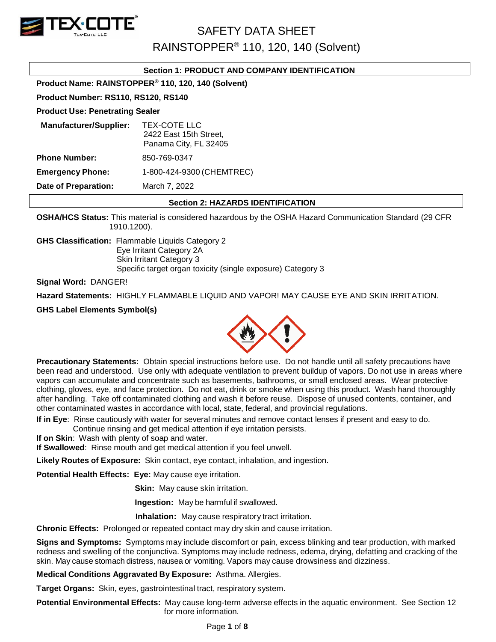

RAINSTOPPER® 110, 120, 140 (Solvent)

#### **Section 1: PRODUCT AND COMPANY IDENTIFICATION**

**Product Name: RAINSTOPPER® 110, 120, 140 (Solvent)**

#### **Product Number: RS110, RS120, RS140**

#### **Product Use: Penetrating Sealer**

| <b>Manufacturer/Supplier:</b>                | TEX-COTE LLC<br>2422 East 15th Street,<br>Panama City, FL 32405 |  |  |
|----------------------------------------------|-----------------------------------------------------------------|--|--|
| <b>Phone Number:</b><br>850-769-0347         |                                                                 |  |  |
| <b>Emergency Phone:</b>                      | 1-800-424-9300 (CHEMTREC)                                       |  |  |
| <b>Date of Preparation:</b><br>March 7, 2022 |                                                                 |  |  |

#### **Section 2: HAZARDS IDENTIFICATION**

**OSHA/HCS Status:** This material is considered hazardous by the OSHA Hazard Communication Standard (29 CFR 1910.1200).

**GHS Classification:** Flammable Liquids Category 2

Eye Irritant Category 2A Skin Irritant Category 3 Specific target organ toxicity (single exposure) Category 3

**Signal Word:** DANGER!

**Hazard Statements:** HIGHLY FLAMMABLE LIQUID AND VAPOR! MAY CAUSE EYE AND SKIN IRRITATION.

#### **GHS Label Elements Symbol(s)**



**Precautionary Statements:** Obtain special instructions before use. Do not handle until all safety precautions have been read and understood. Use only with adequate ventilation to prevent buildup of vapors. Do not use in areas where vapors can accumulate and concentrate such as basements, bathrooms, or small enclosed areas. Wear protective clothing, gloves, eye, and face protection. Do not eat, drink or smoke when using this product. Wash hand thoroughly after handling. Take off contaminated clothing and wash it before reuse. Dispose of unused contents, container, and other contaminated wastes in accordance with local, state, federal, and provincial regulations.

**If in Eye**: Rinse cautiously with water for several minutes and remove contact lenses if present and easy to do.

Continue rinsing and get medical attention if eye irritation persists. **If on Skin**: Wash with plenty of soap and water.

**If Swallowed**: Rinse mouth and get medical attention if you feel unwell.

**Likely Routes of Exposure:** Skin contact, eye contact, inhalation, and ingestion.

**Potential Health Effects: Eye:** May cause eye irritation.

**Skin:** May cause skin irritation.

**Ingestion:** May be harmful if swallowed.

 **Inhalation:** May cause respiratory tract irritation.

**Chronic Effects:** Prolonged or repeated contact may dry skin and cause irritation.

**Signs and Symptoms:** Symptoms may include discomfort or pain, excess blinking and tear production, with marked redness and swelling of the conjunctiva. Symptoms may include redness, edema, drying, defatting and cracking of the skin. May cause stomach distress, nausea or vomiting. Vapors may cause drowsiness and dizziness.

**Medical Conditions Aggravated By Exposure:** Asthma. Allergies.

**Target Organs:** Skin, eyes, gastrointestinal tract, respiratory system.

**Potential Environmental Effects:** May cause long-term adverse effects in the aquatic environment. See Section 12 for more information.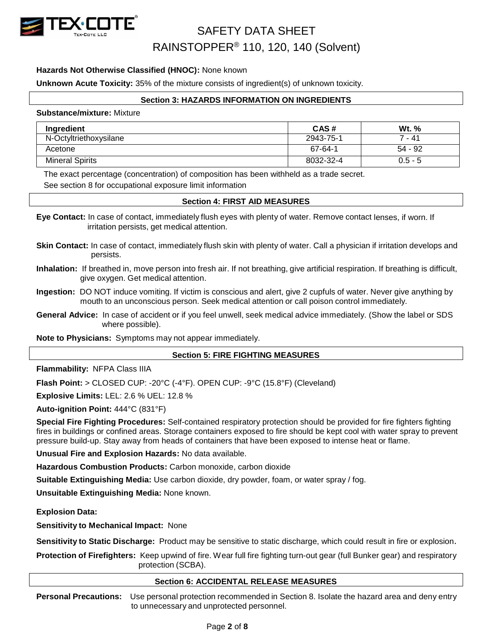

#### **Hazards Not Otherwise Classified (HNOC):** None known

**Unknown Acute Toxicity:** 35% of the mixture consists of ingredient(s) of unknown toxicity.

#### **Section 3: HAZARDS INFORMATION ON INGREDIENTS**

#### **Substance/mixture:** Mixture

| Ingredient             | CAS#      | W <sub>t.</sub> % |
|------------------------|-----------|-------------------|
| N-Octyltriethoxysilane | 2943-75-1 | 7 - 41            |
| Acetone                | 67-64-1   | 54 - 92           |
| <b>Mineral Spirits</b> | 8032-32-4 | $0.5 - 5$         |

The exact percentage (concentration) of composition has been withheld as a trade secret.

See section 8 for occupational exposure limit information

#### **Section 4: FIRST AID MEASURES**

- **Eye Contact:** In case of contact, immediately flush eyes with plenty of water. Remove contact lenses, if worn. If irritation persists, get medical attention.
- **Skin Contact:** In case of contact, immediately flush skin with plenty of water. Call a physician if irritation develops and persists.
- **Inhalation:** If breathed in, move person into fresh air. If not breathing, give artificial respiration. If breathing is difficult, give oxygen. Get medical attention.

**Ingestion:** DO NOT induce vomiting. If victim is conscious and alert, give 2 cupfuls of water. Never give anything by mouth to an unconscious person. Seek medical attention or call poison control immediately.

**General Advice:** In case of accident or if you feel unwell, seek medical advice immediately. (Show the label or SDS where possible).

**Note to Physicians:** Symptoms may not appear immediately.

#### **Section 5: FIRE FIGHTING MEASURES**

**Flammability:** NFPA Class IIIA

**Flash Point:** > CLOSED CUP: -20°C (-4°F). OPEN CUP: -9°C (15.8°F) (Cleveland)

**Explosive Limits:** LEL: 2.6 % UEL: 12.8 %

**Auto-ignition Point:** 444°C (831°F)

**Special Fire Fighting Procedures:** Self-contained respiratory protection should be provided for fire fighters fighting fires in buildings or confined areas. Storage containers exposed to fire should be kept cool with water spray to prevent pressure build-up. Stay away from heads of containers that have been exposed to intense heat or flame.

**Unusual Fire and Explosion Hazards:** No data available.

**Hazardous Combustion Products:** Carbon monoxide, carbon dioxide

**Suitable Extinguishing Media:** Use carbon dioxide, dry powder, foam, or water spray / fog.

**Unsuitable Extinguishing Media:** None known.

**Explosion Data:**

**Sensitivity to Mechanical Impact:** None

**Sensitivity to Static Discharge:** Product may be sensitive to static discharge, which could result in fire or explosion.

**Protection of Firefighters:** Keep upwind of fire. Wear full fire fighting turn-out gear (full Bunker gear) and respiratory protection (SCBA).

#### **Section 6: ACCIDENTAL RELEASE MEASURES**

**Personal Precautions:** Use personal protection recommended in Section 8. Isolate the hazard area and deny entry to unnecessary and unprotected personnel.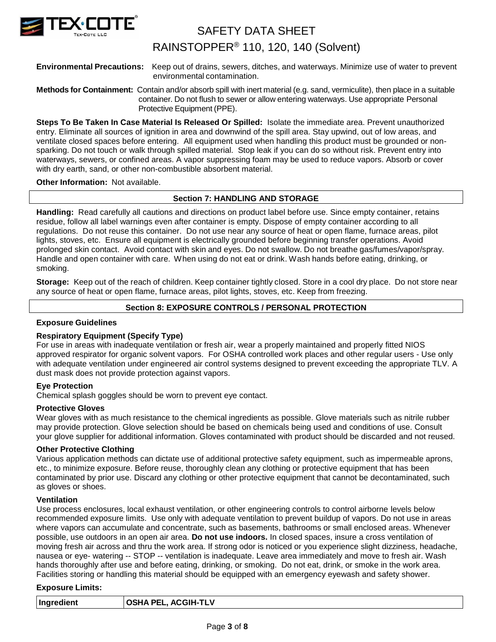

### RAINSTOPPER® 110, 120, 140 (Solvent)

#### **Environmental Precautions:** Keep out of drains, sewers, ditches, and waterways. Minimize use of water to prevent environmental contamination.

#### **Methods for Containment:** Contain and/or absorb spill with inert material (e.g. sand, vermiculite), then place in a suitable container. Do not flush to sewer or allow entering waterways. Use appropriate Personal Protective Equipment (PPE).

**Steps To Be Taken In Case Material Is Released Or Spilled:** Isolate the immediate area. Prevent unauthorized entry. Eliminate all sources of ignition in area and downwind of the spill area. Stay upwind, out of low areas, and ventilate closed spaces before entering. All equipment used when handling this product must be grounded or nonsparking. Do not touch or walk through spilled material. Stop leak if you can do so without risk. Prevent entry into waterways, sewers, or confined areas. A vapor suppressing foam may be used to reduce vapors. Absorb or cover with dry earth, sand, or other non-combustible absorbent material.

#### **Other Information:** Not available.

#### **Section 7: HANDLING AND STORAGE**

**Handling:** Read carefully all cautions and directions on product label before use. Since empty container, retains residue, follow all label warnings even after container is empty. Dispose of empty container according to all regulations. Do not reuse this container. Do not use near any source of heat or open flame, furnace areas, pilot lights, stoves, etc. Ensure all equipment is electrically grounded before beginning transfer operations. Avoid prolonged skin contact. Avoid contact with skin and eyes. Do not swallow. Do not breathe gas/fumes/vapor/spray. Handle and open container with care. When using do not eat or drink. Wash hands before eating, drinking, or smoking.

**Storage:** Keep out of the reach of children. Keep container tightly closed. Store in a cool dry place. Do not store near any source of heat or open flame, furnace areas, pilot lights, stoves, etc. Keep from freezing.

#### **Section 8: EXPOSURE CONTROLS / PERSONAL PROTECTION**

#### **Exposure Guidelines**

#### **Respiratory Equipment (Specify Type)**

For use in areas with inadequate ventilation or fresh air, wear a properly maintained and properly fitted NIOS approved respirator for organic solvent vapors. For OSHA controlled work places and other regular users - Use only with adequate ventilation under engineered air control systems designed to prevent exceeding the appropriate TLV. A dust mask does not provide protection against vapors.

#### **Eye Protection**

Chemical splash goggles should be worn to prevent eye contact.

#### **Protective Gloves**

Wear gloves with as much resistance to the chemical ingredients as possible. Glove materials such as nitrile rubber may provide protection. Glove selection should be based on chemicals being used and conditions of use. Consult your glove supplier for additional information. Gloves contaminated with product should be discarded and not reused.

#### **Other Protective Clothing**

Various application methods can dictate use of additional protective safety equipment, such as impermeable aprons, etc., to minimize exposure. Before reuse, thoroughly clean any clothing or protective equipment that has been contaminated by prior use. Discard any clothing or other protective equipment that cannot be decontaminated, such as gloves or shoes.

#### **Ventilation**

Use process enclosures, local exhaust ventilation, or other engineering controls to control airborne levels below recommended exposure limits. Use only with adequate ventilation to prevent buildup of vapors. Do not use in areas where vapors can accumulate and concentrate, such as basements, bathrooms or small enclosed areas. Whenever possible, use outdoors in an open air area. **Do not use indoors.** In closed spaces, insure a cross ventilation of moving fresh air across and thru the work area. If strong odor is noticed or you experience slight dizziness, headache, nausea or eye- watering -- STOP -- ventilation is inadequate. Leave area immediately and move to fresh air. Wash hands thoroughly after use and before eating, drinking, or smoking. Do not eat, drink, or smoke in the work area. Facilities storing or handling this material should be equipped with an emergency eyewash and safety shower.

#### **Exposure Limits:**

| Ingredient | <b>OSHA PEL, ACGIH-TLV</b> |
|------------|----------------------------|
|            |                            |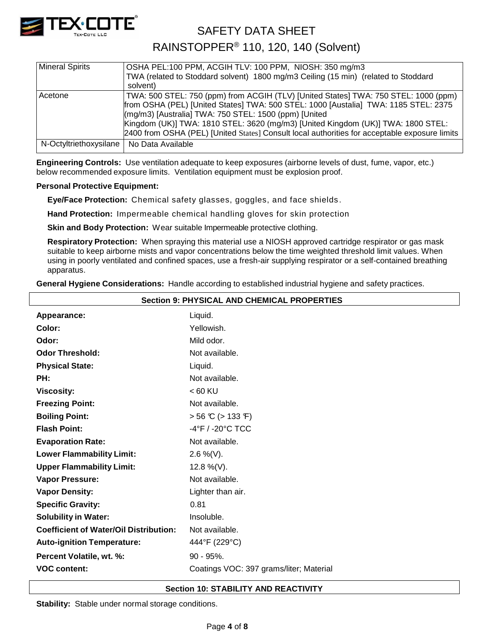

RAINSTOPPER® 110, 120, 140 (Solvent)

| <b>Mineral Spirits</b>                     | OSHA PEL:100 PPM, ACGIH TLV: 100 PPM, NIOSH: 350 mg/m3                                        |
|--------------------------------------------|-----------------------------------------------------------------------------------------------|
|                                            | TWA (related to Stoddard solvent) 1800 mg/m3 Ceiling (15 min) (related to Stoddard            |
|                                            | solvent)                                                                                      |
| Acetone                                    | TWA: 500 STEL: 750 (ppm) from ACGIH (TLV) [United States] TWA: 750 STEL: 1000 (ppm)           |
|                                            | from OSHA (PEL) [United States] TWA: 500 STEL: 1000 [Austalia] TWA: 1185 STEL: 2375           |
|                                            | (mg/m3) [Australia] TWA: 750 STEL: 1500 (ppm) [United]                                        |
|                                            | Kingdom (UK)] TWA: 1810 STEL: 3620 (mg/m3) [United Kingdom (UK)] TWA: 1800 STEL:              |
|                                            | 2400 from OSHA (PEL) [United States] Consult local authorities for acceptable exposure limits |
| N-Octyltriethoxysilane   No Data Available |                                                                                               |
|                                            |                                                                                               |

**Engineering Controls:** Use ventilation adequate to keep exposures (airborne levels of dust, fume, vapor, etc.) below recommended exposure limits. Ventilation equipment must be explosion proof.

#### **Personal Protective Equipment:**

**Eye/Face Protection:** Chemical safety glasses, goggles, and face shields .

**Hand Protection:** Impermeable chemical handling gloves for skin protection

**Skin and Body Protection:** Wear suitable Impermeable protective clothing.

**Respiratory Protection:** When spraying this material use a NIOSH approved cartridge respirator or gas mask suitable to keep airborne mists and vapor concentrations below the time weighted threshold limit values. When using in poorly ventilated and confined spaces, use a fresh-air supplying respirator or a self-contained breathing apparatus.

**General Hygiene Considerations:** Handle according to established industrial hygiene and safety practices.

| <b>Section 9: PHYSICAL AND CHEMICAL PROPERTIES</b> |                                         |  |  |  |  |
|----------------------------------------------------|-----------------------------------------|--|--|--|--|
| Appearance:                                        | Liquid.                                 |  |  |  |  |
| Color:                                             | Yellowish.                              |  |  |  |  |
| Odor:                                              | Mild odor.                              |  |  |  |  |
| <b>Odor Threshold:</b>                             | Not available.                          |  |  |  |  |
| <b>Physical State:</b>                             | Liquid.                                 |  |  |  |  |
| PH:                                                | Not available.                          |  |  |  |  |
| <b>Viscosity:</b>                                  | $< 60$ KU                               |  |  |  |  |
| <b>Freezing Point:</b>                             | Not available.                          |  |  |  |  |
| <b>Boiling Point:</b>                              | $> 56 \text{ C}$ ( $> 133 \text{ F}$ )  |  |  |  |  |
| <b>Flash Point:</b>                                | -4°F / -20°C TCC                        |  |  |  |  |
| <b>Evaporation Rate:</b>                           | Not available.                          |  |  |  |  |
| <b>Lower Flammability Limit:</b>                   | $2.6\%$ (V).                            |  |  |  |  |
| <b>Upper Flammability Limit:</b>                   | 12.8 %(V).                              |  |  |  |  |
| <b>Vapor Pressure:</b>                             | Not available.                          |  |  |  |  |
| <b>Vapor Density:</b>                              | Lighter than air.                       |  |  |  |  |
| <b>Specific Gravity:</b>                           | 0.81                                    |  |  |  |  |
| <b>Solubility in Water:</b>                        | Insoluble.                              |  |  |  |  |
| <b>Coefficient of Water/Oil Distribution:</b>      | Not available.                          |  |  |  |  |
| <b>Auto-ignition Temperature:</b>                  | 444°F (229°C)                           |  |  |  |  |
| Percent Volatile, wt. %:                           | $90 - 95\%$ .                           |  |  |  |  |
| <b>VOC content:</b>                                | Coatings VOC: 397 grams/liter; Material |  |  |  |  |
|                                                    |                                         |  |  |  |  |

#### **Section 10: STABILITY AND REACTIVITY**

**Stability:** Stable under normal storage conditions.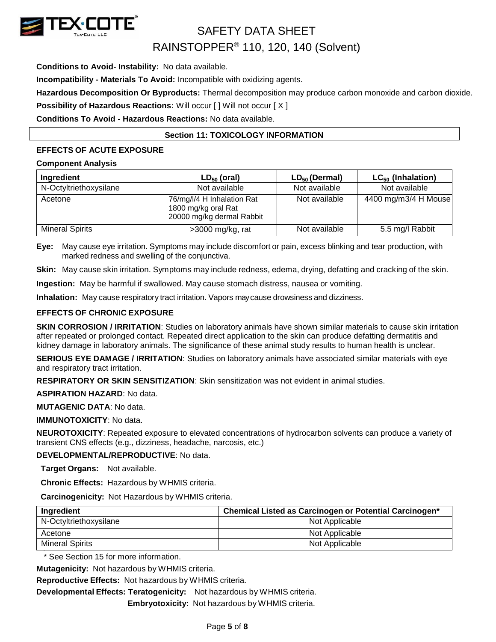

**Conditions to Avoid- Instability:** No data available.

**Incompatibility - Materials To Avoid:** Incompatible with oxidizing agents.

**Hazardous Decomposition Or Byproducts:** Thermal decomposition may produce carbon monoxide and carbon dioxide.

**Possibility of Hazardous Reactions: Will occur [ ] Will not occur [ X ]** 

**Conditions To Avoid - Hazardous Reactions:** No data available.

#### **Section 11: TOXICOLOGY INFORMATION**

#### **EFFECTS OF ACUTE EXPOSURE**

#### **Component Analysis**

| Ingredient             | $LD_{50}$ (oral)                                                               | $LD_{50}$ (Dermal) | $LC_{50}$ (Inhalation) |
|------------------------|--------------------------------------------------------------------------------|--------------------|------------------------|
| N-Octyltriethoxysilane | Not available                                                                  | Not available      | Not available          |
| Acetone                | 76/mg/l/4 H Inhalation Rat<br>1800 mg/kg oral Rat<br>20000 mg/kg dermal Rabbit | Not available      | 4400 mg/m3/4 H Mouse   |
| <b>Mineral Spirits</b> | $>3000$ mg/kg, rat                                                             | Not available      | 5.5 mg/l Rabbit        |

**Eye:** May cause eye irritation. Symptoms may include discomfort or pain, excess blinking and tear production, with marked redness and swelling of the conjunctiva.

**Skin:** May cause skin irritation. Symptoms may include redness, edema, drying, defatting and cracking of the skin.

**Ingestion:** May be harmful if swallowed. May cause stomach distress, nausea or vomiting.

**Inhalation:** May cause respiratory tract irritation. Vapors maycause drowsiness and dizziness.

#### **EFFECTS OF CHRONIC EXPOSURE**

**SKIN CORROSION / IRRITATION**: Studies on laboratory animals have shown similar materials to cause skin irritation after repeated or prolonged contact. Repeated direct application to the skin can produce defatting dermatitis and kidney damage in laboratory animals. The significance of these animal study results to human health is unclear.

**SERIOUS EYE DAMAGE / IRRITATION**: Studies on laboratory animals have associated similar materials with eye and respiratory tract irritation.

**RESPIRATORY OR SKIN SENSITIZATION**: Skin sensitization was not evident in animal studies.

**ASPIRATION HAZARD**: No data.

**MUTAGENIC DATA**: No data.

**IMMUNOTOXICITY**: No data.

**NEUROTOXICITY**: Repeated exposure to elevated concentrations of hydrocarbon solvents can produce a variety of transient CNS effects (e.g., dizziness, headache, narcosis, etc.)

#### **DEVELOPMENTAL/REPRODUCTIVE**: No data.

**Target Organs:** Not available.

**Chronic Effects:** Hazardous by WHMIS criteria.

**Carcinogenicity:** Not Hazardous by WHMIS criteria.

| Ingredient             | Chemical Listed as Carcinogen or Potential Carcinogen* |  |  |  |
|------------------------|--------------------------------------------------------|--|--|--|
| N-Octyltriethoxysilane | Not Applicable                                         |  |  |  |
| Acetone                | Not Applicable                                         |  |  |  |
| <b>Mineral Spirits</b> | Not Applicable                                         |  |  |  |

\* See Section 15 for more information.

**Mutagenicity:** Not hazardous by WHMIS criteria.

**Reproductive Effects:** Not hazardous by WHMIS criteria.

**Developmental Effects: Teratogenicity:** Not hazardous by WHMIS criteria.

**Embryotoxicity:** Not hazardous by WHMIS criteria.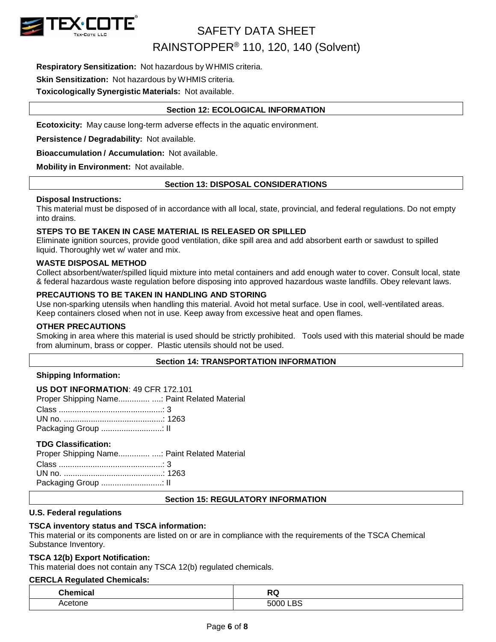

**Respiratory Sensitization:** Not hazardous by WHMIS criteria.

#### **Skin Sensitization:** Not hazardous by WHMIS criteria.

**Toxicologically Synergistic Materials:** Not available.

#### **Section 12: ECOLOGICAL INFORMATION**

**Ecotoxicity:** May cause long-term adverse effects in the aquatic environment.

**Persistence / Degradability:** Not available.

**Bioaccumulation / Accumulation:** Not available.

**Mobility in Environment:** Not available.

#### **Section 13: DISPOSAL CONSIDERATIONS**

#### **Disposal Instructions:**

This material must be disposed of in accordance with all local, state, provincial, and federal regulations. Do not empty into drains.

#### **STEPS TO BE TAKEN IN CASE MATERIAL IS RELEASED OR SPILLED**

Eliminate ignition sources, provide good ventilation, dike spill area and add absorbent earth or sawdust to spilled liquid. Thoroughly wet w/ water and mix.

#### **WASTE DISPOSAL METHOD**

Collect absorbent/water/spilled liquid mixture into metal containers and add enough water to cover. Consult local, state & federal hazardous waste regulation before disposing into approved hazardous waste landfills. Obey relevant laws.

#### **PRECAUTIONS TO BE TAKEN IN HANDLING AND STORING**

Use non-sparking utensils when handling this material. Avoid hot metal surface. Use in cool, well-ventilated areas. Keep containers closed when not in use. Keep away from excessive heat and open flames.

#### **OTHER PRECAUTIONS**

Smoking in area where this material is used should be strictly prohibited. Tools used with this material should be made from aluminum, brass or copper. Plastic utensils should not be used.

#### **Section 14: TRANSPORTATION INFORMATION**

#### **Shipping Information:**

| <b>US DOT INFORMATION: 49 CFR 172.101</b>     |  |
|-----------------------------------------------|--|
| Proper Shipping Name : Paint Related Material |  |
|                                               |  |
|                                               |  |
|                                               |  |

#### **TDG Classification:**

| Proper Shipping Name Paint Related Material |  |
|---------------------------------------------|--|
|                                             |  |
|                                             |  |
|                                             |  |

#### **Section 15: REGULATORY INFORMATION**

#### **U.S. Federal regulations**

#### **TSCA inventory status and TSCA information:**

This material or its components are listed on or are in compliance with the requirements of the TSCA Chemical Substance Inventory.

#### **TSCA 12(b) Export Notification:**

This material does not contain any TSCA 12(b) regulated chemicals.

#### **CERCLA Regulated Chemicals:**

| <b>Chemical</b> | $\mathbf{A}$       |
|-----------------|--------------------|
| .               |                    |
| Acetone         | DC<br>5000 L<br>DC |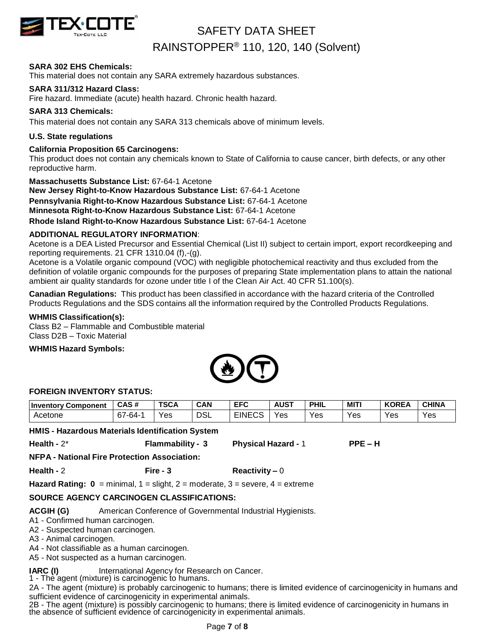

#### **SARA 302 EHS Chemicals:**

This material does not contain any SARA extremely hazardous substances.

#### **SARA 311/312 Hazard Class:**

Fire hazard. Immediate (acute) health hazard. Chronic health hazard.

#### **SARA 313 Chemicals:**

This material does not contain any SARA 313 chemicals above of minimum levels.

#### **U.S. State regulations**

#### **California Proposition 65 Carcinogens:**

This product does not contain any chemicals known to State of California to cause cancer, birth defects, or any other reproductive harm.

#### **Massachusetts Substance List:** 67-64-1 Acetone

**New Jersey Right-to-Know Hazardous Substance List:** 67-64-1 Acetone

**Pennsylvania Right-to-Know Hazardous Substance List:** 67-64-1 Acetone

**Minnesota Right-to-Know Hazardous Substance List:** 67-64-1 Acetone

**Rhode Island Right-to-Know Hazardous Substance List:** 67-64-1 Acetone

#### **ADDITIONAL REGULATORY INFORMATION**:

Acetone is a DEA Listed Precursor and Essential Chemical (List II) subject to certain import, export recordkeeping and reporting requirements. 21 CFR 1310.04 (f),-(g).

Acetone is a Volatile organic compound (VOC) with negligible photochemical reactivity and thus excluded from the definition of volatile organic compounds for the purposes of preparing State implementation plans to attain the national ambient air quality standards for ozone under title I of the Clean Air Act. 40 CFR 51.100(s).

**Canadian Regulations:** This product has been classified in accordance with the hazard criteria of the Controlled Products Regulations and the SDS contains all the information required by the Controlled Products Regulations.

#### **WHMIS Classification(s):**

Class B2 – Flammable and Combustible material Class D2B – Toxic Material

#### **WHMIS Hazard Symbols:**



#### **FOREIGN INVENTORY STATUS:**

| <b>Inventory Component</b>                       | CAS#    | <b>TSCA</b>                | <b>CAN</b> | <b>EFC</b>    | <b>AUST</b> | <b>PHIL</b> | MITI | <b>KOREA</b> | <b>CHINA</b> |
|--------------------------------------------------|---------|----------------------------|------------|---------------|-------------|-------------|------|--------------|--------------|
| Acetone                                          | 67-64-1 | Yes                        | <b>DSL</b> | <b>EINECS</b> | Yes         | Yes         | Yes  | Yes          | Yes          |
| HMIS - Hazardous Materials Identification System |         |                            |            |               |             |             |      |              |              |
| Health - $2^*$<br><b>Flammability - 3</b>        |         | <b>Physical Hazard - 1</b> |            |               | $PPE - H$   |             |      |              |              |

**NFPA - National Fire Protection Association:**

**Health -** 2 **Fire - 3 Reactivity –** 0

**Hazard Rating:**  $0 = \text{minimal}$ **,**  $1 = \text{slight}$ **,**  $2 = \text{moderate}$ **,**  $3 = \text{severe}$ **,**  $4 = \text{extreme}$ 

#### **SOURCE AGENCY CARCINOGEN CLASSIFICATIONS:**

**ACGIH (G)** American Conference of Governmental Industrial Hygienists.

A1 - Confirmed human carcinogen.

A2 - Suspected human carcinogen.

A3 - Animal carcinogen.

- A4 Not classifiable as a human carcinogen.
- A5 Not suspected as a human carcinogen.

**IARC (I)** International Agency for Research on Cancer.

1 - The agent (mixture) is carcinogenic to humans.

2A - The agent (mixture) is probably carcinogenic to humans; there is limited evidence of carcinogenicity in humans and sufficient evidence of carcinogenicity in experimental animals.

2B - The agent (mixture) is possibly carcinogenic to humans; there is limited evidence of carcinogenicity in humans in the absence of sufficient evidence of carcinogenicity in experimental animals.